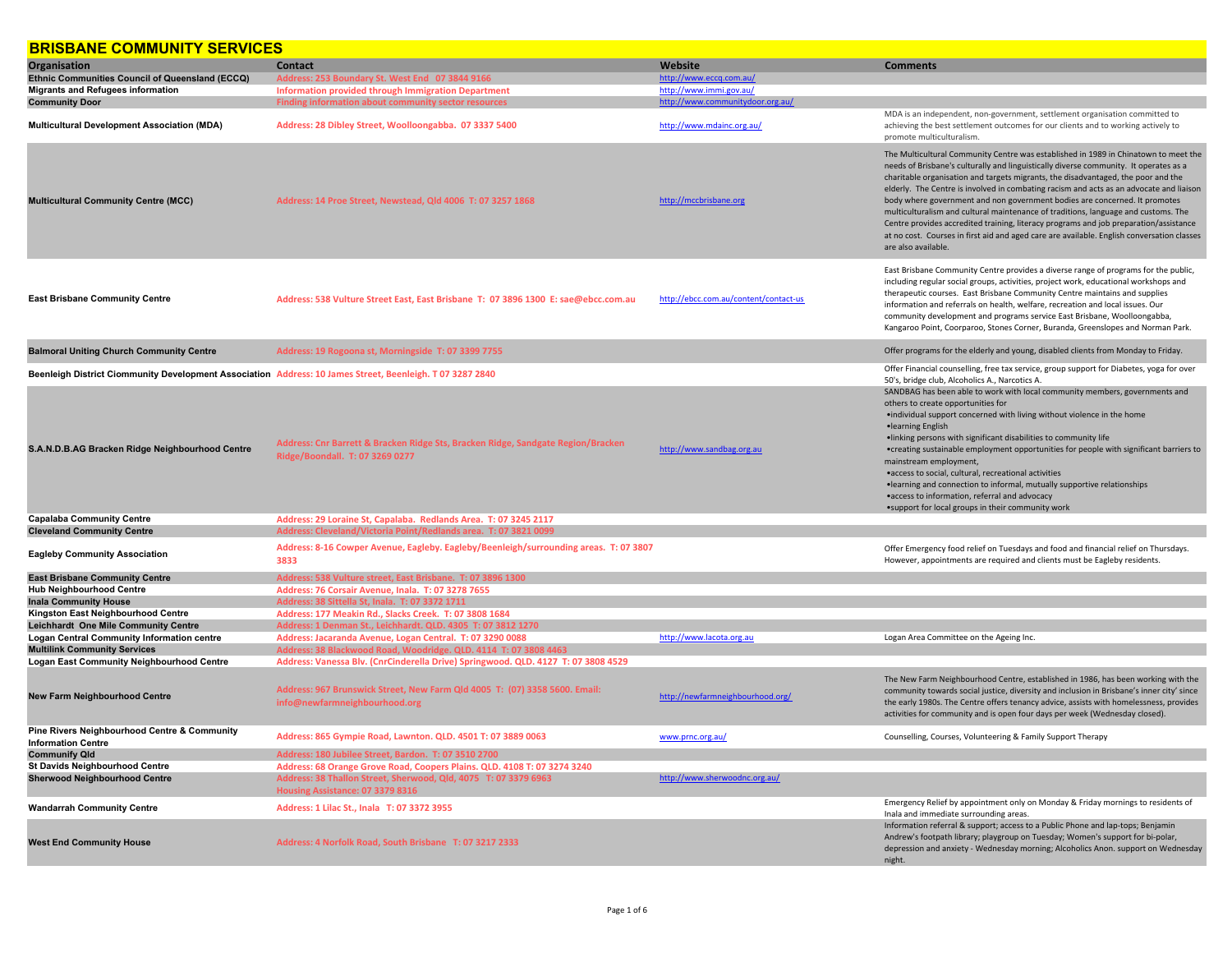## **BBICBANE COMMUNITY SEBVICES**

| <u>DRISDANE COMMUNITI SERVICES</u>                                                                        |                                                                                                                     |                                       |                                                                                                                                                                                                                                                                                                                                                                                                                                                                                                                                                                                                                                                                                                                                                |
|-----------------------------------------------------------------------------------------------------------|---------------------------------------------------------------------------------------------------------------------|---------------------------------------|------------------------------------------------------------------------------------------------------------------------------------------------------------------------------------------------------------------------------------------------------------------------------------------------------------------------------------------------------------------------------------------------------------------------------------------------------------------------------------------------------------------------------------------------------------------------------------------------------------------------------------------------------------------------------------------------------------------------------------------------|
| Organisation                                                                                              | Contact                                                                                                             | Website                               | <b>Comments</b>                                                                                                                                                                                                                                                                                                                                                                                                                                                                                                                                                                                                                                                                                                                                |
| Ethnic Communities Council of Queensland (ECCQ)                                                           | Address: 253 Boundary St. West End 07 3844 9166                                                                     | http://www.eccq.com.au/               |                                                                                                                                                                                                                                                                                                                                                                                                                                                                                                                                                                                                                                                                                                                                                |
| <b>Migrants and Refugees information</b>                                                                  | <b>Information provided through Immigration Department</b>                                                          | http://www.immi.gov.au/               |                                                                                                                                                                                                                                                                                                                                                                                                                                                                                                                                                                                                                                                                                                                                                |
| <b>Community Door</b>                                                                                     | Finding information about community sector resou                                                                    | http://www.communitydoor.org.au/      |                                                                                                                                                                                                                                                                                                                                                                                                                                                                                                                                                                                                                                                                                                                                                |
| <b>Multicultural Development Association (MDA)</b>                                                        | Address: 28 Dibley Street, Woolloongabba. 07 3337 5400                                                              | http://www.mdainc.org.au/             | MDA is an independent, non-government, settlement organisation committed to<br>achieving the best settlement outcomes for our clients and to working actively to<br>promote multiculturalism.                                                                                                                                                                                                                                                                                                                                                                                                                                                                                                                                                  |
| <b>Multicultural Community Centre (MCC)</b>                                                               | Address: 14 Proe Street, Newstead, Qld 4006 T: 07 3257 1868                                                         | http://mccbrisbane.org                | The Multicultural Community Centre was established in 1989 in Chinatown to meet the<br>needs of Brisbane's culturally and linguistically diverse community. It operates as a<br>charitable organisation and targets migrants, the disadvantaged, the poor and the<br>elderly. The Centre is involved in combating racism and acts as an advocate and liaison<br>body where government and non government bodies are concerned. It promotes<br>multiculturalism and cultural maintenance of traditions, language and customs. The<br>Centre provides accredited training, literacy programs and job preparation/assistance<br>at no cost. Courses in first aid and aged care are available. English conversation classes<br>are also available. |
| <b>East Brisbane Community Centre</b>                                                                     | Address: 538 Vulture Street East, East Brisbane T: 07 3896 1300 E: sae@ebcc.com.au                                  | http://ebcc.com.au/content/contact-us | East Brisbane Community Centre provides a diverse range of programs for the public,<br>including regular social groups, activities, project work, educational workshops and<br>therapeutic courses. East Brisbane Community Centre maintains and supplies<br>information and referrals on health, welfare, recreation and local issues. Our<br>community development and programs service East Brisbane, Woolloongabba,<br>Kangaroo Point, Coorparoo, Stones Corner, Buranda, Greenslopes and Norman Park.                                                                                                                                                                                                                                     |
| <b>Balmoral Uniting Church Community Centre</b>                                                           | Address: 19 Rogoona st, Morningside T: 07 3399 7755                                                                 |                                       | Offer programs for the elderly and young, disabled clients from Monday to Friday.                                                                                                                                                                                                                                                                                                                                                                                                                                                                                                                                                                                                                                                              |
| Beenleigh District Ciommunity Development Association Address: 10 James Street, Beenleigh. T 07 3287 2840 |                                                                                                                     |                                       | Offer Financial counselling, free tax service, group support for Diabetes, yoga for over<br>50's, bridge club, Alcoholics A., Narcotics A.                                                                                                                                                                                                                                                                                                                                                                                                                                                                                                                                                                                                     |
| S.A.N.D.B.AG Bracken Ridge Neighbourhood Centre                                                           | Address: Cnr Barrett & Bracken Ridge Sts, Bracken Ridge, Sandgate Region/Bracken<br>Ridge/Boondall. T: 07 3269 0277 | http://www.sandbag.org.au             | SANDBAG has been able to work with local community members, governments and<br>others to create opportunities for<br>•individual support concerned with living without violence in the home<br>·learning English<br>. Inking persons with significant disabilities to community life<br>•creating sustainable employment opportunities for people with significant barriers to<br>mainstream employment,<br>•access to social, cultural, recreational activities<br>. learning and connection to informal, mutually supportive relationships<br>•access to information, referral and advocacy<br>• support for local groups in their community work                                                                                            |
| <b>Capalaba Community Centre</b>                                                                          | Address: 29 Loraine St, Capalaba. Redlands Area. T: 07 3245 2117                                                    |                                       |                                                                                                                                                                                                                                                                                                                                                                                                                                                                                                                                                                                                                                                                                                                                                |
| <b>Cleveland Community Centre</b>                                                                         | Address: Cleveland/Victoria Point/Redlands area. T: 07 3821 0099                                                    |                                       |                                                                                                                                                                                                                                                                                                                                                                                                                                                                                                                                                                                                                                                                                                                                                |
| <b>Eagleby Community Association</b>                                                                      | Address: 8-16 Cowper Avenue, Eagleby. Eagleby/Beenleigh/surrounding areas. T: 07 3807<br>3833                       |                                       | Offer Emergency food relief on Tuesdays and food and financial relief on Thursdays.<br>However, appointments are required and clients must be Eagleby residents.                                                                                                                                                                                                                                                                                                                                                                                                                                                                                                                                                                               |
| <b>East Brisbane Community Centre</b>                                                                     | Address: 538 Vulture street, East Brisbane. T: 07 3896 1300                                                         |                                       |                                                                                                                                                                                                                                                                                                                                                                                                                                                                                                                                                                                                                                                                                                                                                |
| <b>Hub Neighbourhood Centre</b>                                                                           | Address: 76 Corsair Avenue, Inala. T: 07 3278 7655                                                                  |                                       |                                                                                                                                                                                                                                                                                                                                                                                                                                                                                                                                                                                                                                                                                                                                                |
| <b>Inala Community House</b>                                                                              | Address: 38 Sittella St, Inala. T: 07 3372 1711                                                                     |                                       |                                                                                                                                                                                                                                                                                                                                                                                                                                                                                                                                                                                                                                                                                                                                                |
| Kingston East Neighbourhood Centre                                                                        | Address: 177 Meakin Rd., Slacks Creek. T: 07 3808 1684                                                              |                                       |                                                                                                                                                                                                                                                                                                                                                                                                                                                                                                                                                                                                                                                                                                                                                |
| Leichhardt One Mile Community Centre                                                                      | Address: 1 Denman St., Leichhardt. QLD. 4305 T: 07 3812 1270                                                        |                                       |                                                                                                                                                                                                                                                                                                                                                                                                                                                                                                                                                                                                                                                                                                                                                |
| <b>Logan Central Community Information centre</b>                                                         | Address: Jacaranda Avenue, Logan Central. T: 07 3290 0088                                                           | http://www.lacota.org.au              | Logan Area Committee on the Ageing Inc.                                                                                                                                                                                                                                                                                                                                                                                                                                                                                                                                                                                                                                                                                                        |
| <b>Multilink Community Services</b>                                                                       | Address: 38 Blackwood Road, Woodridge. QLD. 4114 T: 07 3808 4463                                                    |                                       |                                                                                                                                                                                                                                                                                                                                                                                                                                                                                                                                                                                                                                                                                                                                                |
| <b>Logan East Community Neighbourhood Centre</b>                                                          | Address: Vanessa Blv. (CnrCinderella Drive) Springwood. QLD. 4127 T: 07 3808 4529                                   |                                       |                                                                                                                                                                                                                                                                                                                                                                                                                                                                                                                                                                                                                                                                                                                                                |
| <b>New Farm Neighbourhood Centre</b>                                                                      | Address: 967 Brunswick Street, New Farm Qld 4005 T: (07) 3358 5600. Email:<br>info@newfarmneighbourhood.org         | http://newfarmneighbourhood.org/      | The New Farm Neighbourhood Centre, established in 1986, has been working with the<br>community towards social justice, diversity and inclusion in Brisbane's inner city' since<br>the early 1980s. The Centre offers tenancy advice, assists with homelessness, provides<br>activities for community and is open four days per week (Wednesday closed).                                                                                                                                                                                                                                                                                                                                                                                        |
| Pine Rivers Neighbourhood Centre & Community<br><b>Information Centre</b>                                 | Address: 865 Gympie Road, Lawnton. QLD. 4501 T: 07 3889 0063                                                        | www.prnc.org.au/                      | Counselling, Courses, Volunteering & Family Support Therapy                                                                                                                                                                                                                                                                                                                                                                                                                                                                                                                                                                                                                                                                                    |
| <b>Communify Qld</b>                                                                                      | Address: 180 Jubilee Street, Bardon. T: 07 3510 2700                                                                |                                       |                                                                                                                                                                                                                                                                                                                                                                                                                                                                                                                                                                                                                                                                                                                                                |
| <b>St Davids Neighbourhood Centre</b>                                                                     | Address: 68 Orange Grove Road, Coopers Plains. QLD. 4108 T: 07 3274 3240                                            |                                       |                                                                                                                                                                                                                                                                                                                                                                                                                                                                                                                                                                                                                                                                                                                                                |
| <b>Sherwood Neighbourhood Centre</b>                                                                      | Address: 38 Thallon Street, Sherwood, Qld, 4075 T: 07 3379 6963<br>Housing Assistance: 07 3379 8316                 | http://www.sherwoodnc.org.au/         |                                                                                                                                                                                                                                                                                                                                                                                                                                                                                                                                                                                                                                                                                                                                                |
| <b>Wandarrah Community Centre</b>                                                                         | Address: 1 Lilac St., Inala T: 07 3372 3955                                                                         |                                       | Emergency Relief by appointment only on Monday & Friday mornings to residents of<br>Inala and immediate surrounding areas.                                                                                                                                                                                                                                                                                                                                                                                                                                                                                                                                                                                                                     |
| <b>West End Community House</b>                                                                           | Address: 4 Norfolk Road, South Brisbane T: 07 3217 2333                                                             |                                       | Information referral & support; access to a Public Phone and lap-tops; Benjamin<br>Andrew's footpath library; playgroup on Tuesday; Women's support for bi-polar,<br>depression and anxiety - Wednesday morning; Alcoholics Anon. support on Wednesday<br>night.                                                                                                                                                                                                                                                                                                                                                                                                                                                                               |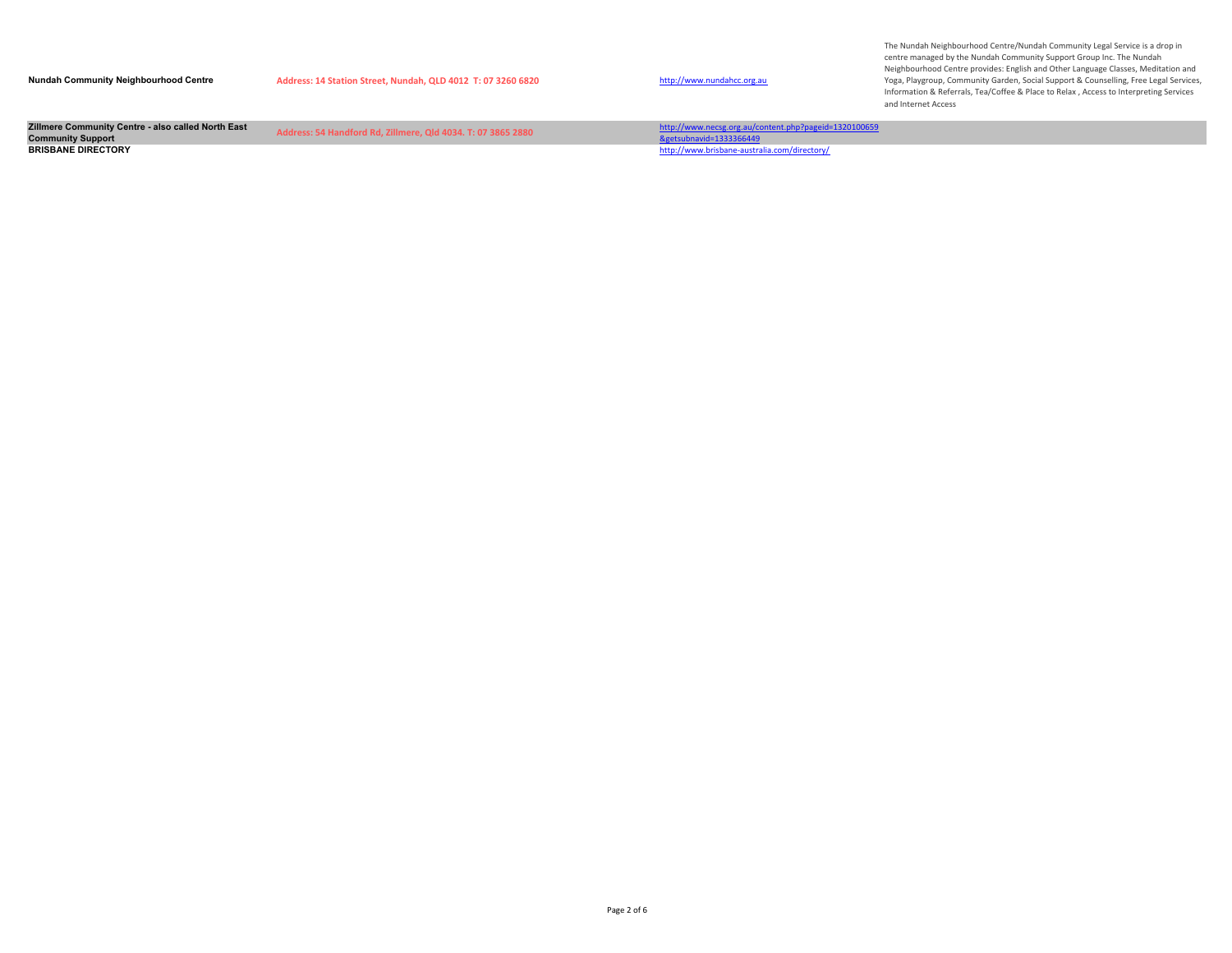| <b>Nundah Community Neighbourhood Centre</b>       | Address: 14 Station Street, Nundah, QLD 4012 T: 07 3260 6820 | http://www.nundahcc.org.au                            | centre managed by the Nundah Community Support Group Inc. The Nundah<br>Neighbourhood Centre provides: English and Other Language Classes, Meditation and<br>Yoga, Playgroup, Community Garden, Social Support & Counselling, Free Legal Services,<br>Information & Referrals, Tea/Coffee & Place to Relax, Access to Interpreting Services<br>and Internet Access |
|----------------------------------------------------|--------------------------------------------------------------|-------------------------------------------------------|--------------------------------------------------------------------------------------------------------------------------------------------------------------------------------------------------------------------------------------------------------------------------------------------------------------------------------------------------------------------|
| Zillmere Community Centre - also called North East | Address: 54 Handford Rd. Zillmere, Old 4034, T: 07 3865 2880 | http://www.necsg.org.au/content.php?pageid=1320100659 |                                                                                                                                                                                                                                                                                                                                                                    |
| <b>Community Support</b>                           |                                                              | &getsubnavid=1333366449                               |                                                                                                                                                                                                                                                                                                                                                                    |
| <b>BRISBANE DIRECTORY</b>                          |                                                              | http://www.brisbane-australia.com/directory/          |                                                                                                                                                                                                                                                                                                                                                                    |
|                                                    |                                                              |                                                       |                                                                                                                                                                                                                                                                                                                                                                    |

The Nundah Neighbourhood Centre/Nundah Community Legal Service is a drop in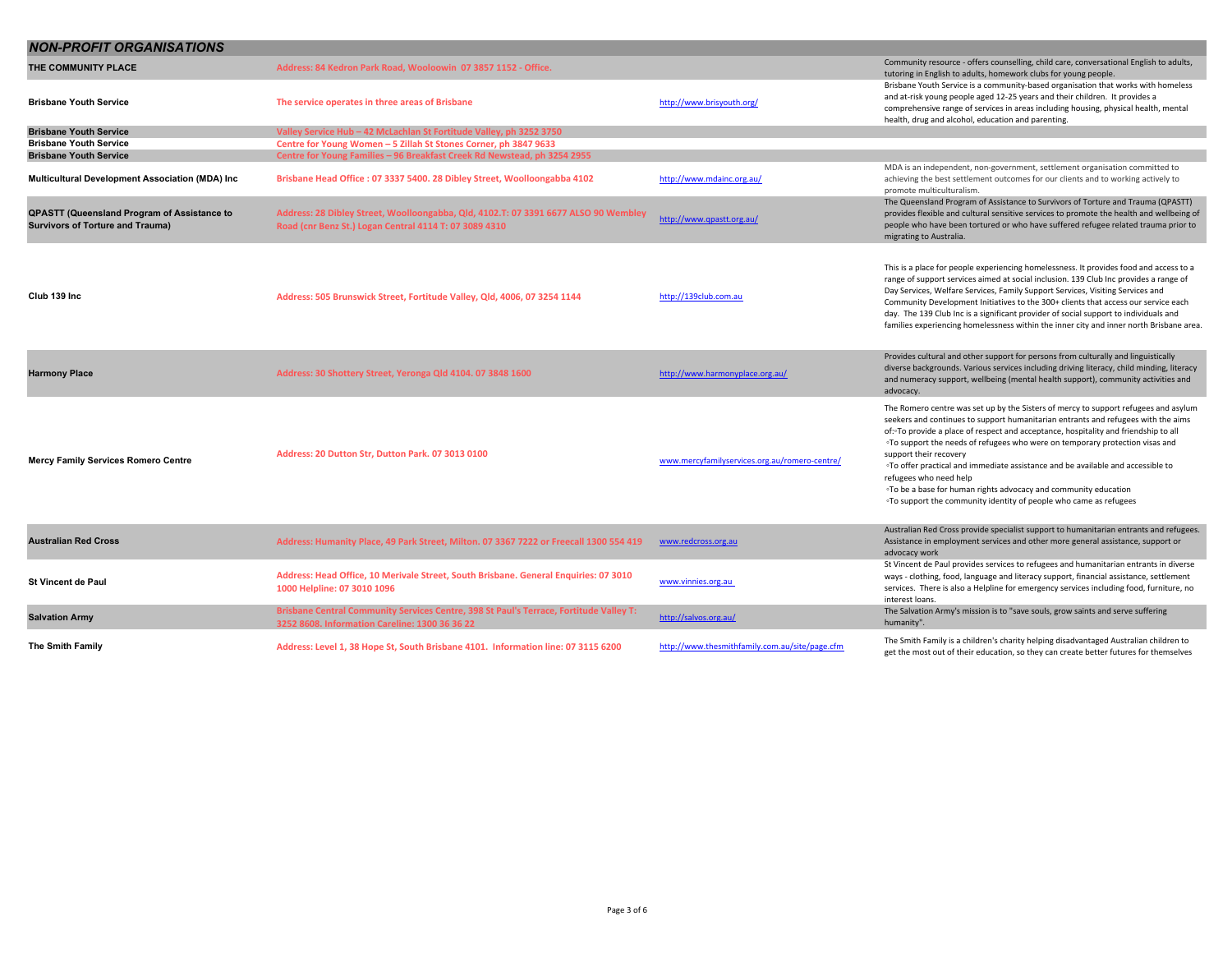| <b>NON-PROFIT ORGANISATIONS</b>                                                               |                                                                                                                                               |                                                |                                                                                                                                                                                                                                                                                                                                                                                                                                                                                                                                                                                                                                                                     |
|-----------------------------------------------------------------------------------------------|-----------------------------------------------------------------------------------------------------------------------------------------------|------------------------------------------------|---------------------------------------------------------------------------------------------------------------------------------------------------------------------------------------------------------------------------------------------------------------------------------------------------------------------------------------------------------------------------------------------------------------------------------------------------------------------------------------------------------------------------------------------------------------------------------------------------------------------------------------------------------------------|
| THE COMMUNITY PLACE                                                                           | Address: 84 Kedron Park Road, Wooloowin 07 3857 1152 - Office.                                                                                |                                                | Community resource - offers counselling, child care, conversational English to adults,<br>tutoring in English to adults, homework clubs for young people.                                                                                                                                                                                                                                                                                                                                                                                                                                                                                                           |
| Brisbane Youth Service                                                                        | The service operates in three areas of Brisbane                                                                                               | http://www.brisyouth.org/                      | Brisbane Youth Service is a community-based organisation that works with homeless<br>and at-risk young people aged 12-25 years and their children. It provides a<br>comprehensive range of services in areas including housing, physical health, mental<br>health, drug and alcohol, education and parenting.                                                                                                                                                                                                                                                                                                                                                       |
| <b>Brisbane Youth Service</b>                                                                 | Valley Service Hub - 42 McLachlan St Fortitude Valley, ph 3252 3750                                                                           |                                                |                                                                                                                                                                                                                                                                                                                                                                                                                                                                                                                                                                                                                                                                     |
| <b>Brisbane Youth Service</b>                                                                 | Centre for Young Women - 5 Zillah St Stones Corner, ph 3847 9633                                                                              |                                                |                                                                                                                                                                                                                                                                                                                                                                                                                                                                                                                                                                                                                                                                     |
| <b>Brisbane Youth Service</b>                                                                 | Centre for Young Families - 96 Breakfast Creek Rd Newstead, ph 3254 2955                                                                      |                                                |                                                                                                                                                                                                                                                                                                                                                                                                                                                                                                                                                                                                                                                                     |
| Multicultural Development Association (MDA) Inc                                               | Brisbane Head Office: 07 3337 5400. 28 Dibley Street, Woolloongabba 4102                                                                      | http://www.mdainc.org.au/                      | MDA is an independent, non-government, settlement organisation committed to<br>achieving the best settlement outcomes for our clients and to working actively to<br>promote multiculturalism.                                                                                                                                                                                                                                                                                                                                                                                                                                                                       |
| <b>QPASTT (Queensland Program of Assistance to</b><br><b>Survivors of Torture and Trauma)</b> | Address: 28 Dibley Street, Woolloongabba, Qld, 4102.T: 07 3391 6677 ALSO 90 Wembley<br>Road (cnr Benz St.) Logan Central 4114 T: 07 3089 4310 | http://www.qpastt.org.au/                      | The Queensland Program of Assistance to Survivors of Torture and Trauma (QPASTT)<br>provides flexible and cultural sensitive services to promote the health and wellbeing of<br>people who have been tortured or who have suffered refugee related trauma prior to<br>migrating to Australia.                                                                                                                                                                                                                                                                                                                                                                       |
| Club 139 Inc                                                                                  | Address: 505 Brunswick Street, Fortitude Valley, Qld, 4006, 07 3254 1144                                                                      | http://139club.com.au                          | This is a place for people experiencing homelessness. It provides food and access to a<br>range of support services aimed at social inclusion. 139 Club Inc provides a range of<br>Day Services, Welfare Services, Family Support Services, Visiting Services and<br>Community Development Initiatives to the 300+ clients that access our service each<br>day. The 139 Club Inc is a significant provider of social support to individuals and<br>families experiencing homelessness within the inner city and inner north Brisbane area.                                                                                                                          |
| <b>Harmony Place</b>                                                                          | Address: 30 Shottery Street, Yeronga Qld 4104.07 3848 1600                                                                                    | http://www.harmonyplace.org.au/                | Provides cultural and other support for persons from culturally and linguistically<br>diverse backgrounds. Various services including driving literacy, child minding, literacy<br>and numeracy support, wellbeing (mental health support), community activities and<br>advocacy                                                                                                                                                                                                                                                                                                                                                                                    |
| Mercy Family Services Romero Centre                                                           | Address: 20 Dutton Str, Dutton Park. 07 3013 0100                                                                                             | www.mercyfamilyservices.org.au/romero-centre/  | The Romero centre was set up by the Sisters of mercy to support refugees and asylum<br>seekers and continues to support humanitarian entrants and refugees with the aims<br>of: To provide a place of respect and acceptance, hospitality and friendship to all<br><sup>o</sup> To support the needs of refugees who were on temporary protection visas and<br>support their recovery<br><sup>o</sup> To offer practical and immediate assistance and be available and accessible to<br>refugees who need help<br>. To be a base for human rights advocacy and community education<br><sup>o</sup> To support the community identity of people who came as refugees |
| <b>Australian Red Cross</b>                                                                   | Address: Humanity Place, 49 Park Street, Milton. 07 3367 7222 or Freecall 1300 554 419                                                        | www.redcross.org.au                            | Australian Red Cross provide specialist support to humanitarian entrants and refugees.<br>Assistance in employment services and other more general assistance, support or<br>advocacy work                                                                                                                                                                                                                                                                                                                                                                                                                                                                          |
| <b>St Vincent de Paul</b>                                                                     | Address: Head Office, 10 Merivale Street, South Brisbane. General Enquiries: 07 3010<br>1000 Helpline: 07 3010 1096                           | www.vinnies.org.au                             | St Vincent de Paul provides services to refugees and humanitarian entrants in diverse<br>ways - clothing, food, language and literacy support, financial assistance, settlement<br>services. There is also a Helpline for emergency services including food, furniture, no<br>interest loans.                                                                                                                                                                                                                                                                                                                                                                       |
| <b>Salvation Army</b>                                                                         | Brisbane Central Community Services Centre, 398 St Paul's Terrace, Fortitude Valley T:<br>3252 8608. Information Careline: 1300 36 36 22      | http://salvos.org.au/                          | The Salvation Army's mission is to "save souls, grow saints and serve suffering<br>humanity".                                                                                                                                                                                                                                                                                                                                                                                                                                                                                                                                                                       |
| The Smith Family                                                                              | Address: Level 1, 38 Hope St, South Brisbane 4101. Information line: 07 3115 6200                                                             | http://www.thesmithfamily.com.au/site/page.cfm | The Smith Family is a children's charity helping disadvantaged Australian children to<br>get the most out of their education, so they can create better futures for themselves                                                                                                                                                                                                                                                                                                                                                                                                                                                                                      |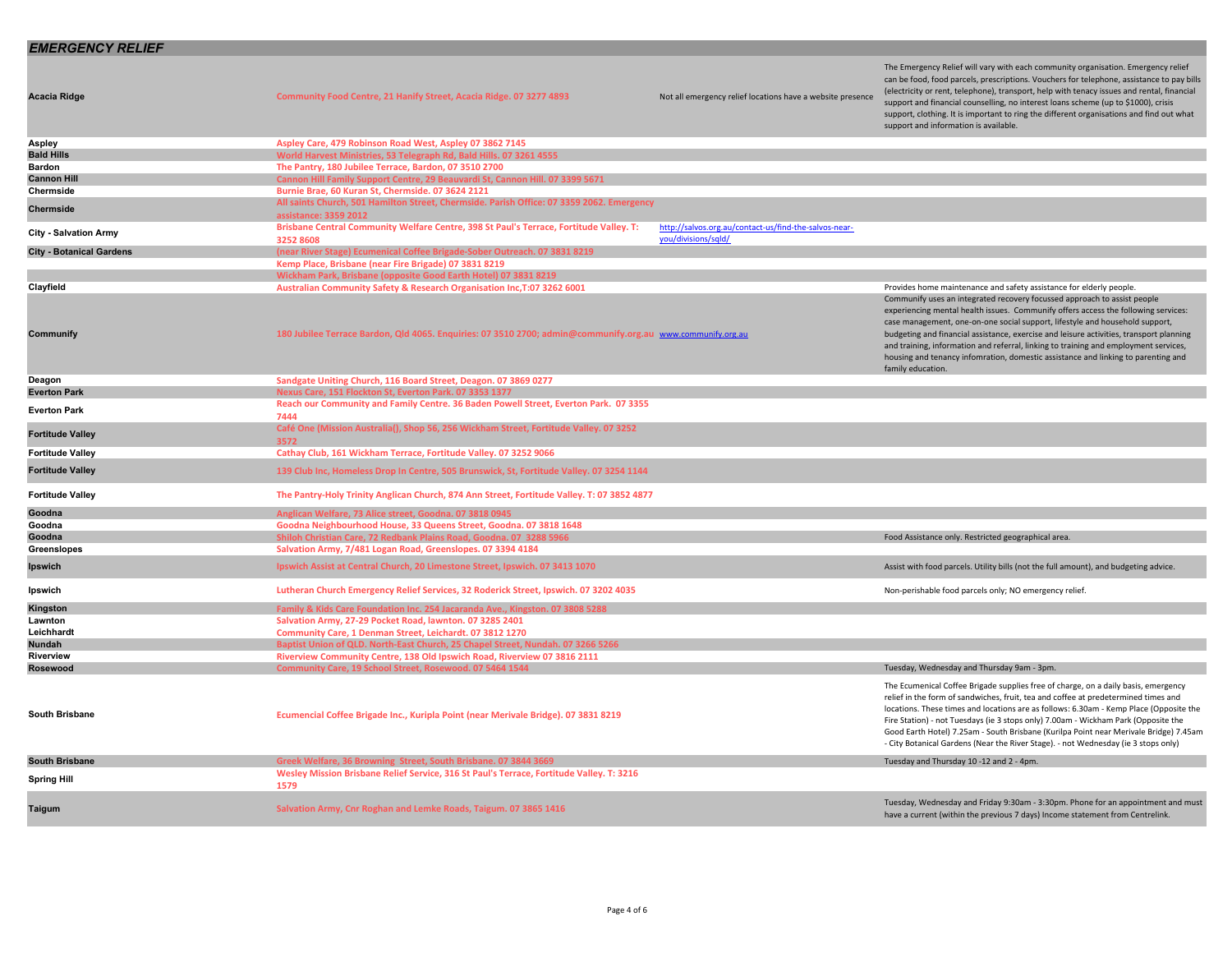## *EMERGENCY RELIEF*

| <b>Acacia Ridge</b>             | Community Food Centre, 21 Hanify Street, Acacia Ridge. 07 3277 4893                                                | Not all emergency relief locations have a website presence                   | The Emergency Relief will vary with each community organisation. Emergency relief<br>can be food, food parcels, prescriptions. Vouchers for telephone, assistance to pay bills<br>(electricity or rent, telephone), transport, help with tenacy issues and rental, financial<br>support and financial counselling, no interest loans scheme (up to \$1000), crisis<br>support, clothing. It is important to ring the different organisations and find out what<br>support and information is available.                                     |
|---------------------------------|--------------------------------------------------------------------------------------------------------------------|------------------------------------------------------------------------------|---------------------------------------------------------------------------------------------------------------------------------------------------------------------------------------------------------------------------------------------------------------------------------------------------------------------------------------------------------------------------------------------------------------------------------------------------------------------------------------------------------------------------------------------|
| Aspley                          | Aspley Care, 479 Robinson Road West, Aspley 07 3862 7145                                                           |                                                                              |                                                                                                                                                                                                                                                                                                                                                                                                                                                                                                                                             |
| <b>Bald Hills</b>               | World Harvest Ministries, 53 Telegraph Rd, Bald Hills. 07 3261 4555                                                |                                                                              |                                                                                                                                                                                                                                                                                                                                                                                                                                                                                                                                             |
| Bardon                          | The Pantry, 180 Jubilee Terrace, Bardon, 07 3510 2700                                                              |                                                                              |                                                                                                                                                                                                                                                                                                                                                                                                                                                                                                                                             |
| <b>Cannon Hill</b>              | Cannon Hill Family Support Centre, 29 Beauvardi St, Cannon Hill. 07 3399 5671                                      |                                                                              |                                                                                                                                                                                                                                                                                                                                                                                                                                                                                                                                             |
| Chermside                       | Burnie Brae, 60 Kuran St, Chermside. 07 3624 2121                                                                  |                                                                              |                                                                                                                                                                                                                                                                                                                                                                                                                                                                                                                                             |
| Chermside                       | All saints Church, 501 Hamilton Street, Chermside. Parish Office: 07 3359 2062. Emergency<br>assistance: 3359 2012 |                                                                              |                                                                                                                                                                                                                                                                                                                                                                                                                                                                                                                                             |
| <b>City - Salvation Army</b>    | Brisbane Central Community Welfare Centre, 398 St Paul's Terrace, Fortitude Valley. T:<br>3252 8608                | http://salvos.org.au/contact-us/find-the-salvos-near-<br>vou/divisions/sald/ |                                                                                                                                                                                                                                                                                                                                                                                                                                                                                                                                             |
| <b>City - Botanical Gardens</b> | (near River Stage) Ecumenical Coffee Brigade-Sober Outreach. 07 3831 8219                                          |                                                                              |                                                                                                                                                                                                                                                                                                                                                                                                                                                                                                                                             |
|                                 | Kemp Place, Brisbane (near Fire Brigade) 07 3831 8219                                                              |                                                                              |                                                                                                                                                                                                                                                                                                                                                                                                                                                                                                                                             |
|                                 | Wickham Park, Brisbane (opposite Good Earth Hotel) 07 3831 8219                                                    |                                                                              |                                                                                                                                                                                                                                                                                                                                                                                                                                                                                                                                             |
| Clayfield                       | Australian Community Safety & Research Organisation Inc, T:07 3262 6001                                            |                                                                              | Provides home maintenance and safety assistance for elderly people.                                                                                                                                                                                                                                                                                                                                                                                                                                                                         |
| Communify                       | 180 Jubilee Terrace Bardon, Qld 4065. Enquiries: 07 3510 2700; admin@communify.org.au www.communify.org.au         |                                                                              | Communify uses an integrated recovery focussed approach to assist people<br>experiencing mental health issues. Communify offers access the following services:<br>case management, one-on-one social support, lifestyle and household support,<br>budgeting and financial assistance, exercise and leisure activities, transport planning<br>and training, information and referral, linking to training and employment services,<br>housing and tenancy infomration, domestic assistance and linking to parenting and<br>family education. |
| Deagon                          | Sandgate Uniting Church, 116 Board Street, Deagon. 07 3869 0277                                                    |                                                                              |                                                                                                                                                                                                                                                                                                                                                                                                                                                                                                                                             |
| <b>Everton Park</b>             | Nexus Care, 151 Flockton St, Everton Park. 07 3353 1377                                                            |                                                                              |                                                                                                                                                                                                                                                                                                                                                                                                                                                                                                                                             |
| <b>Everton Park</b>             | Reach our Community and Family Centre. 36 Baden Powell Street, Everton Park. 07 3355<br>7444                       |                                                                              |                                                                                                                                                                                                                                                                                                                                                                                                                                                                                                                                             |
| <b>Fortitude Valley</b>         | Café One (Mission Australia(), Shop 56, 256 Wickham Street, Fortitude Valley. 07 3252<br>3572                      |                                                                              |                                                                                                                                                                                                                                                                                                                                                                                                                                                                                                                                             |
| <b>Fortitude Valley</b>         | Cathay Club, 161 Wickham Terrace, Fortitude Valley. 07 3252 9066                                                   |                                                                              |                                                                                                                                                                                                                                                                                                                                                                                                                                                                                                                                             |
| <b>Fortitude Valley</b>         | 139 Club Inc, Homeless Drop In Centre, 505 Brunswick, St, Fortitude Valley. 07 3254 1144                           |                                                                              |                                                                                                                                                                                                                                                                                                                                                                                                                                                                                                                                             |
| <b>Fortitude Valley</b>         | The Pantry-Holy Trinity Anglican Church, 874 Ann Street, Fortitude Valley. T: 07 3852 4877                         |                                                                              |                                                                                                                                                                                                                                                                                                                                                                                                                                                                                                                                             |
| Goodna                          | Anglican Welfare, 73 Alice street, Goodna. 07 3818 0945                                                            |                                                                              |                                                                                                                                                                                                                                                                                                                                                                                                                                                                                                                                             |
| Goodna                          | Goodna Neighbourhood House, 33 Queens Street, Goodna. 07 3818 1648                                                 |                                                                              |                                                                                                                                                                                                                                                                                                                                                                                                                                                                                                                                             |
| Goodna                          | Shiloh Christian Care, 72 Redbank Plains Road, Goodna. 07 3288 5966                                                |                                                                              | Food Assistance only. Restricted geographical area.                                                                                                                                                                                                                                                                                                                                                                                                                                                                                         |
| Greenslopes                     | Salvation Army, 7/481 Logan Road, Greenslopes. 07 3394 4184                                                        |                                                                              |                                                                                                                                                                                                                                                                                                                                                                                                                                                                                                                                             |
| Ipswich                         | Ipswich Assist at Central Church, 20 Limestone Street, Ipswich. 07 3413 1070                                       |                                                                              | Assist with food parcels. Utility bills (not the full amount), and budgeting advice.                                                                                                                                                                                                                                                                                                                                                                                                                                                        |
| lpswich                         | Lutheran Church Emergency Relief Services, 32 Roderick Street, Ipswich. 07 3202 4035                               |                                                                              | Non-perishable food parcels only; NO emergency relief.                                                                                                                                                                                                                                                                                                                                                                                                                                                                                      |
| Kingston                        | Family & Kids Care Foundation Inc. 254 Jacaranda Ave., Kingston. 07 3808 5288                                      |                                                                              |                                                                                                                                                                                                                                                                                                                                                                                                                                                                                                                                             |
| Lawnton<br>Leichhardt           | Salvation Army, 27-29 Pocket Road, lawnton. 07 3285 2401                                                           |                                                                              |                                                                                                                                                                                                                                                                                                                                                                                                                                                                                                                                             |
|                                 | Community Care, 1 Denman Street, Leichardt. 07 3812 1270                                                           |                                                                              |                                                                                                                                                                                                                                                                                                                                                                                                                                                                                                                                             |
| Nundah                          | Baptist Union of QLD. North-East Church, 25 Chapel Street, Nundah. 07 3266 5266                                    |                                                                              |                                                                                                                                                                                                                                                                                                                                                                                                                                                                                                                                             |
| Riverview<br>Rosewood           | Riverview Community Centre, 138 Old Ipswich Road, Riverview 07 3816 2111                                           |                                                                              | Tuesday, Wednesday and Thursday 9am - 3pm.                                                                                                                                                                                                                                                                                                                                                                                                                                                                                                  |
|                                 | Community Care, 19 School Street, Rosewood. 07 5464 1544                                                           |                                                                              |                                                                                                                                                                                                                                                                                                                                                                                                                                                                                                                                             |
| <b>South Brisbane</b>           | Ecumencial Coffee Brigade Inc., Kuripla Point (near Merivale Bridge). 07 3831 8219                                 |                                                                              | The Ecumenical Coffee Brigade supplies free of charge, on a daily basis, emergency<br>relief in the form of sandwiches, fruit, tea and coffee at predetermined times and<br>locations. These times and locations are as follows: 6.30am - Kemp Place (Opposite the<br>Fire Station) - not Tuesdays (ie 3 stops only) 7.00am - Wickham Park (Opposite the<br>Good Earth Hotel) 7.25am - South Brisbane (Kurilpa Point near Merivale Bridge) 7.45am<br>- City Botanical Gardens (Near the River Stage). - not Wednesday (ie 3 stops only)     |
| <b>South Brisbane</b>           | Greek Welfare, 36 Browning Street, South Brisbane. 07 3844 3669                                                    |                                                                              | Tuesday and Thursday 10-12 and 2 - 4pm.                                                                                                                                                                                                                                                                                                                                                                                                                                                                                                     |
| <b>Spring Hill</b>              | Wesley Mission Brisbane Relief Service, 316 St Paul's Terrace, Fortitude Valley. T: 3216<br>1579                   |                                                                              |                                                                                                                                                                                                                                                                                                                                                                                                                                                                                                                                             |
| Taigum                          | Salvation Army, Cnr Roghan and Lemke Roads, Taigum. 07 3865 1416                                                   |                                                                              | Tuesday, Wednesday and Friday 9:30am - 3:30pm. Phone for an appointment and must<br>have a current (within the previous 7 days) Income statement from Centrelink.                                                                                                                                                                                                                                                                                                                                                                           |